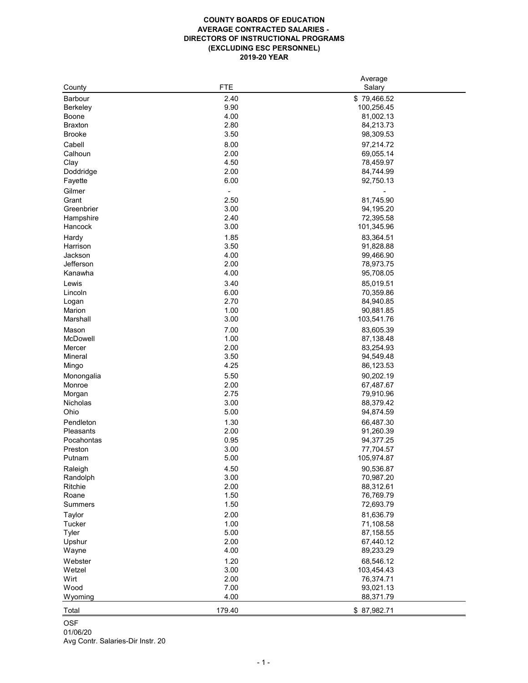## **COUNTY BOARDS OF EDUCATION AVERAGE CONTRACTED SALARIES - DIRECTORS OF INSTRUCTIONAL PROGRAMS (EXCLUDING ESC PERSONNEL) 2019-20 YEAR**

|                                   |              | Average                |
|-----------------------------------|--------------|------------------------|
| County                            | <b>FTE</b>   | Salary                 |
| <b>Barbour</b>                    | 2.40         | \$79,466.52            |
| <b>Berkeley</b>                   | 9.90         | 100,256.45             |
| <b>Boone</b>                      | 4.00         | 81,002.13              |
| <b>Braxton</b>                    | 2.80         | 84,213.73              |
| <b>Brooke</b>                     | 3.50         | 98,309.53              |
| Cabell                            | 8.00         | 97,214.72              |
| Calhoun                           | 2.00         | 69,055.14              |
| Clay                              | 4.50         | 78,459.97              |
| Doddridge                         | 2.00         | 84,744.99              |
| Fayette                           | 6.00         | 92,750.13              |
| Gilmer                            |              |                        |
| Grant                             | 2.50         | 81,745.90              |
| Greenbrier                        | 3.00         | 94,195.20              |
| Hampshire                         | 2.40         | 72,395.58              |
| Hancock                           | 3.00         | 101,345.96             |
| Hardy                             | 1.85         | 83,364.51              |
| Harrison                          | 3.50         | 91,828.88              |
| Jackson                           | 4.00         | 99,466.90              |
| Jefferson                         | 2.00         | 78,973.75              |
| Kanawha                           | 4.00         | 95,708.05              |
|                                   |              |                        |
| Lewis                             | 3.40         | 85,019.51              |
| Lincoln                           | 6.00         | 70,359.86              |
| Logan                             | 2.70         | 84,940.85              |
| Marion                            | 1.00         | 90,881.85              |
| Marshall                          | 3.00         | 103,541.76             |
| Mason                             | 7.00         | 83,605.39              |
| McDowell                          | 1.00         | 87,138.48              |
| Mercer                            | 2.00         | 83,254.93              |
| <b>Mineral</b>                    | 3.50         | 94,549.48              |
| Mingo                             | 4.25         | 86,123.53              |
| Monongalia                        | 5.50         | 90,202.19              |
| Monroe                            | 2.00         | 67,487.67              |
| Morgan                            | 2.75         | 79,910.96              |
| Nicholas                          | 3.00         | 88,379.42              |
| Ohio                              | 5.00         | 94,874.59              |
| Pendleton                         | 1.30         | 66,487.30              |
| <b>Pleasants</b>                  | 2.00         | 91,260.39              |
| Pocahontas                        | 0.95         | 94,377.25              |
| Preston                           | 3.00         | 77,704.57              |
| Putnam                            | 5.00         | 105,974.87             |
| Raleigh                           | 4.50         | 90,536.87              |
| Randolph                          | 3.00         | 70,987.20              |
| Ritchie                           | 2.00         | 88,312.61              |
| Roane                             | 1.50         | 76,769.79              |
| <b>Summers</b>                    | 1.50         | 72,693.79              |
|                                   |              |                        |
| <b>Taylor</b>                     | 2.00<br>1.00 | 81,636.79              |
| <b>Tucker</b>                     | 5.00         | 71,108.58              |
| <b>Tyler</b>                      | 2.00         | 87,158.55<br>67,440.12 |
| Upshur                            | 4.00         |                        |
| Wayne                             |              | 89,233.29              |
| Webster                           | 1.20         | 68,546.12              |
| Wetzel                            | 3.00         | 103,454.43             |
| Wirt                              | 2.00         | 76,374.71              |
| Wood                              | 7.00         | 93,021.13              |
| Wyoming                           | 4.00         | 88,371.79              |
| Total                             | 179.40       | \$87,982.71            |
| <b>OSF</b>                        |              |                        |
| 01/06/20                          |              |                        |
| Avg Contr. Salaries-Dir Instr. 20 |              |                        |
|                                   |              |                        |